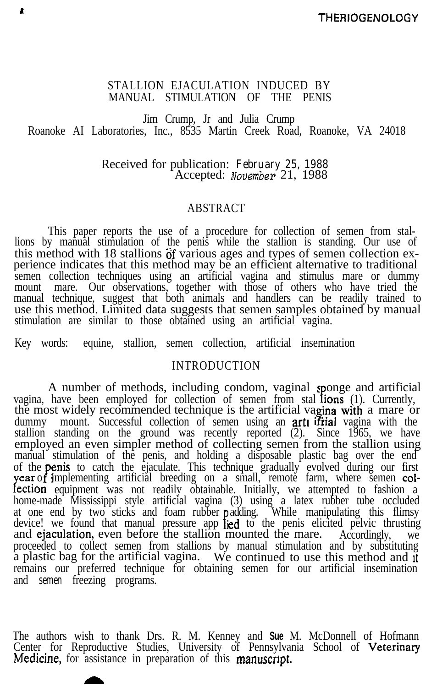### STALLION EJACULATION INDUCED BY MANUAL STIMULATION OF THE PENIS

 $\mathbf{r}$ 

Jim Crump, Jr and Julia Crump Roanoke AI Laboratories, Inc., 8535 Martin Creek Road, Roanoke, VA 24018

> Received for publication: *February 25, 1988* Accepted: November 21, 1988

# ABSTRACT

This paper reports the use of a procedure for collection of semen from stallions by manual stimulation of the penis while the stallion is standing. Our use of this method with 18 stallions of various ages and types of semen collection experience indicates that this method may be an efficient alternative to traditional semen collection techniques using an artificial vagina and stimulus mare or dummy mount mare. Our observations, together with those of others who have tried the manual technique, suggest that both animals and handlers can be readily trained to use this method. Limited data suggests that semen samples obtained by manual stimulation are similar to those obtained using an artificial vagina.

Key words: equine, stallion, semen collection, artificial insemination

## INTRODUCTION

A number of methods, including condom, vaginal sponge and artificial vagina, have been employed for collection of semen from stal  $\lim_{n \to \infty}$  (1). Currently, the most widely recommended technique is the artificial vagina with a mare or dummy mount. Successful collection of semen using an **art if itial** vagina with the stallion standing on the ground was recently reported (2). Since 1965, we have employed an even simpler method of collecting semen from the stallion using manual stimulation of the penis, and holding a disposable plastic bag over the end of the **penis** to catch the ejaculate. This technique gradually evolved during our first  $\gamma$ ear of implementing artificial breeding on a small, remote farm, where semen collection equipment was not readily obtainable. Initially, we attempted to fashion a home-made Mississippi style artificial vagina (3) using a latex rubber tube occluded at one end by two sticks and foam rubber **p** adding. While manipulating this flimsy device! we found that manual pressure app **jed** to the penis elicited pelvic thrusting and **ejaculation**, even before the stallion mounted the mare. Accordingly, we proceeded to collect semen from stallions by manual stimulation and by substituting a plastic bag for the artificial vagina. We continued to use this method and rt remains our preferred technique for obtaining semen for our artificial insemination and *semen* freezing programs.

The authors wish to thank Drs. R. M. Kenney and **Sue** M. McDonnell of Hofmann Center for Reproductive Studies, University of Pennsylvania School of Veterinar Medicine, for assistance in preparation of this manuscript.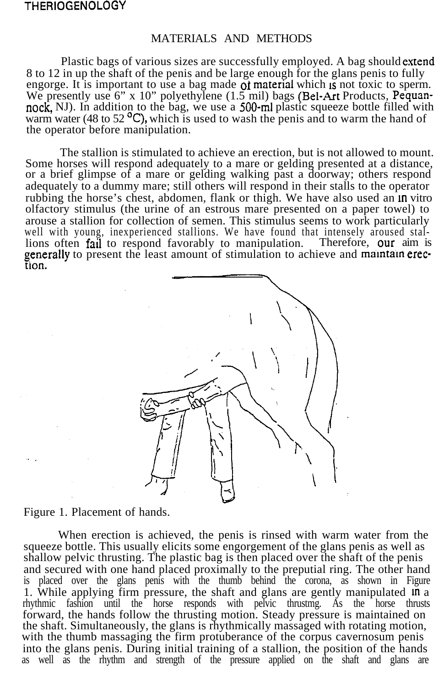#### MATERIALS AND METHODS

Plastic bags of various sizes are successfully employed. A bag should extend 8 to 12 in up the shaft of the penis and be large enough for the glans penis to fully engorge. It is important to use a bag made  $\alpha$  material which is not toxic to sperm. We presently use 6" x 10" polyethylene (1.5 mil) bags (Bel-Art Products, Pequannock, NJ). In addition to the bag, we use a 500-ml plastic squeeze bottle filled with warm water (48 to 52 $^{\circ}$ C), which is used to wash the penis and to warm the hand of the operator before manipulation.

The stallion is stimulated to achieve an erection, but is not allowed to mount. Some horses will respond adequately to a mare or gelding presented at a distance, or a brief glimpse of a mare or gelding walking past a doorway; others respond adequately to a dummy mare; still others will respond in their stalls to the operator rubbing the horse's chest, abdomen, flank or thigh. We have also used an  $\ln$  vitro olfactory stimulus (the urine of an estrous mare presented on a paper towel) to arouse a stallion for collection of semen. This stimulus seems to work particularly well with young, inexperienced stallions. We have found that intensely aroused stallions often fail to respond favorably to manipulation. Therefore, our aim is generally to present the least amount of stimulation to achieve and maintain erection.



Figure 1. Placement of hands.

When erection is achieved, the penis is rinsed with warm water from the squeeze bottle. This usually elicits some engorgement of the glans penis as well as shallow pelvic thrusting. The plastic bag is then placed over the shaft of the penis and secured with one hand placed proximally to the preputial ring. The other hand is placed over the glans penis with the thumb behind the corona, as shown in Figure 1. While applying firm pressure, the shaft and glans are gently manipulated m a rhythmic fashion until the horse responds with pelvic thrustmg. As the horse thrusts forward, the hands follow the thrusting motion. Steady pressure is maintained on the shaft. Simultaneously, the glans is rhythmically massaged with rotating motion, with the thumb massaging the firm protuberance of the corpus cavernosum penis into the glans penis. During initial training of a stallion, the position of the hands as well as the rhythm and strength of the pressure applied on the shaft and glans are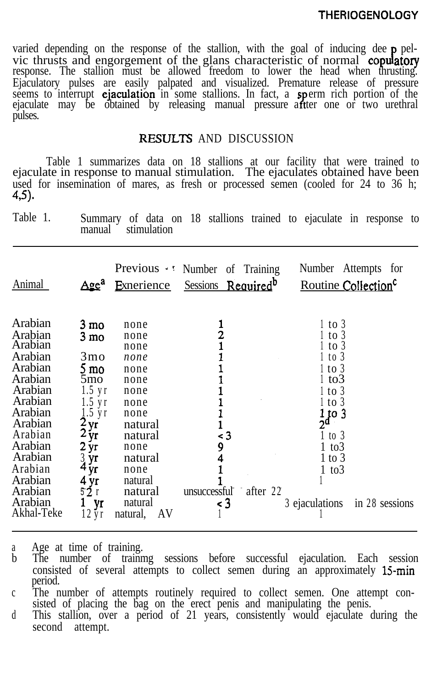varied depending on the response of the stallion, with the goal of inducing dee  $\mathbf p$  pelvic thrusts and engorgement of the glans characteristic of normal copulatory response. The stallion must be allowed freedom to lower the head when thrusting. Ejaculatory pulses are easily palpated and visualized. Premature release of pressure seems to interrupt **ejaculation** in some stallions. In fact, a **sperm** rich portion of the ejaculate may be obtained by releasing manual pressure aftter one or two urethral pulses.

## RESULTS AND DISCUSSION

Table 1 summarizes data on 18 stallions at our facility that were trained to ejaculate in response to manual stimulation. The ejaculates obtained have been used for insemination of mares, as fresh or processed semen (cooled for 24 to 36 h; 45).

Table 1. Summary of data on 18 stallions trained to ejaculate in response to manual stimulation

| Animal                                                                                                                                                                                                                                                                                                                                                                                                                                                         | Exnerience                                                                                                                                                               | Previous Wumber of Training                                  | Number Attempts for                                                                                                                                                                                           |
|----------------------------------------------------------------------------------------------------------------------------------------------------------------------------------------------------------------------------------------------------------------------------------------------------------------------------------------------------------------------------------------------------------------------------------------------------------------|--------------------------------------------------------------------------------------------------------------------------------------------------------------------------|--------------------------------------------------------------|---------------------------------------------------------------------------------------------------------------------------------------------------------------------------------------------------------------|
| Age <sup>a</sup>                                                                                                                                                                                                                                                                                                                                                                                                                                               |                                                                                                                                                                          | Sessions Required <sup>b</sup>                               | Routine Collection <sup>c</sup>                                                                                                                                                                               |
| Arabian<br>3 mo<br>Arabian<br>$3 \text{ mo}$<br>Arabian<br>Arabian<br>3 <sub>mo</sub><br>Arabian<br>$5 \text{ mo}$<br>Arabian<br>5mo<br>$1.5 \text{ yr}$<br>Arabian<br>Arabian<br>$1.5 \text{ yr}$<br>Arabian<br>$1.5$ yr<br>2 <sub>yr</sub><br>Arabian<br>$2y_{r}$<br>Arabian<br>Arabian<br>$2 \,\mathrm{yr}$<br>Arabian<br>$3 \, yr$<br>4 <sub>yr</sub><br>Arabian<br>Arabian<br>4 yr<br>52r<br>Arabian<br>Arabian<br>yr<br>Akhal-Teke<br>$12 \,\mathrm{yr}$ | none<br>none<br>none<br>none<br>none<br>none<br>none<br>none<br>none<br>natural<br>natural<br>none<br>natural<br>none<br>natural<br>natural<br>natural<br>AV<br>natural, | $\frac{2}{1}$<br>- 3<br>9<br>after 22<br>unsuccessful<br>< 3 | $1$ to 3<br>$1$ to 3<br>$1$ to 3<br>1 to 3<br>$1$ to $3$<br>l to3<br>$1$ to $3$<br>$1$ to $3$<br>$\frac{1}{2}$ to 3<br>$1$ to $3$<br>$1~\mathrm{to}3$<br>$1$ to $3$<br>1 to3<br>3 ejaculations in 28 sessions |

a Age at time of training.

b The number of trainmg sessions before successful ejaculation. Each session consisted of several attempts to collect semen during an approximately  $15$ -min period.

c The number of attempts routinely required to collect semen. One attempt consisted of placing the bag on the erect penis and manipulating the penis.

d This stallion, over a period of 21 years, consistently would ejaculate during the second attempt.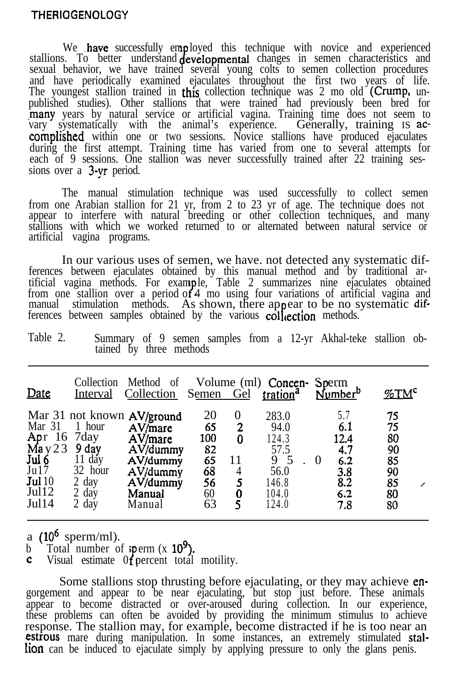We have successfully employed this technique with novice and experienced stallions. To better understand **developmental** changes in semen characteristics and sexual behavior, we have trained several young colts to semen collection procedures and have periodically examined ejaculates throughout the first two years of life. The youngest stallion trained in this collection technique was 2 mo old (Crump, unpublished studies). Other stallions that were trained had previously been bred for -many years by natural service or artificial vagina. Training time does not seem to vary systematically with the animal's experience. Generally, training IS ac**complished** within one or two sessions. Novice stallions have produced ejaculates during the first attempt. Training time has varied from one to several attempts for each of 9 sessions. One stallion was never successfully trained after 22 training sessions over a 3-yr period.

The manual stimulation technique was used successfully to collect semen from one Arabian stallion for 21 yr, from 2 to 23 yr of age. The technique does not appear to interfere with natural breeding or other collection techniques, and many stallions with which we worked returned to or alternated between natural service or artificial vagina programs.

In our various uses of semen, we have. not detected any systematic differences between ejaculates obtained by this manual method and by traditional artificial vagina methods. For example, Table 2 summarizes nine ejaculates obtained from one stallion over a period of 4 mo using four variations of artificial vagina and manual stimulation methods. As shown, there appear to be no systematic dif-4 mo using four variations of artificial vagina and ferences between samples obtained by the various  $\text{col}_1$  ection methods.

| Table 2. |                         |  |  |  | Summary of 9 semen samples from a 12-yr Akhal-teke stallion ob- |  |
|----------|-------------------------|--|--|--|-----------------------------------------------------------------|--|
|          | tained by three methods |  |  |  |                                                                 |  |

| Date                                                                                                                                              | Interval                                                        | Collection Method of Volume (ml) Concen-<br>Collection Semen Gel                                                        |                                                     |                                              | tration <sup>a</sup>                                                          | Sperm<br>Number <sup>b</sup>                                             | $\%TM^c$                                                |
|---------------------------------------------------------------------------------------------------------------------------------------------------|-----------------------------------------------------------------|-------------------------------------------------------------------------------------------------------------------------|-----------------------------------------------------|----------------------------------------------|-------------------------------------------------------------------------------|--------------------------------------------------------------------------|---------------------------------------------------------|
| Mar 31 1 hour<br>Apr $16$ $7$ day<br>$\begin{array}{c}\text{May } 23 \\ \text{Jul } 6 \\ \text{Jul } 7 \end{array}$<br>Jul $10$<br>Jul12<br>Jul14 | 9 day<br>11 day<br>32 hour<br>$2$ day<br>$2 \text{ day}$<br>day | Mar 31 not known AV/ground<br>AV/mare<br>$AV/m$ are<br>AV/dummy<br>AV/dummy<br>AV/dummy<br>AV/dummy<br>Manual<br>Manual | 20<br>65<br>100<br>82<br>65<br>68<br>56<br>60<br>63 | $\theta$<br>2<br>0<br>11<br>4<br>5<br>0<br>5 | 283.0<br>94.0<br>124.3<br>57.5<br>9<br>- 5<br>56.0<br>146.8<br>104.0<br>124.0 | 5.7<br>6.1<br>12.4<br>4.7<br>6.2<br>$\theta$<br>3.8<br>8.2<br>6.2<br>7.8 | 75<br>75<br>80<br>90<br>85<br>90<br>85<br>╱<br>80<br>80 |

a  $(10^6 \text{ sperm/ml})$ .

b Total number of sperm  $(x 10<sup>2</sup>)$ 

**c** Visual estimate  $0$ **f** percent total motility.

Some stallions stop thrusting before ejaculating, or they may achieve engorgement and appear to be near ejaculating, but stop just before. These animals appear to become distracted or over-aroused during collection. In our experience, these problems can often be avoided by providing the minimum stimulus to achieve response. The stallion may, for example, become distracted if he is too near an **estrous** mare during manipulation. In some instances, an extremely stimulated **stallion** can be induced to ejaculate simply by applying pressure to only the glans penis.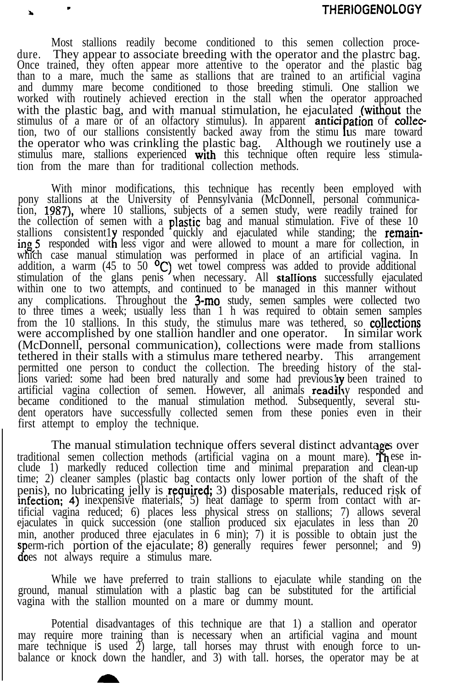dure. Most stallions readily become conditioned to this semen collection proce-They appear to associate breeding with the operator and the plastrc bag. Once trained, they often appear more attentive to the operator and the plastic bag than to a mare, much the same as stallions that are trained to an artificial vagina and dummy mare become conditioned to those breeding stimuli. One stallion we worked with routinely achieved erection in the stall when the operator approached with the plastic bag, and with manual stimulation, he ejaculated (without the stimulus of a mare or of an olfactory stimulus). In apparent **antic** tion, two of our stallions consistently backed away from the stimu lus mare toward ation of collecthe operator who was crinkling the plastic bag. Although we routinely use a stimulus mare, stallions experienced with this technique often require less stimulation from the mare than for traditional collection methods.

-

With minor modifications, this technique has recently been employed with pony stallions at the University of Pennsylvania (McDonnell, personal communication, 1987), where 10 stallions, subjects of a semen study, were readily trained for the collection of semen with a **plastic** bag and manual stimulation. Five of these 10 stallions consistently responded quickly and ejaculated while standing; the remaining 5 responded with less vigor and were allowed to mount a mare for collection, in which case manual stimulation was performed in place of an artificial vagina. In addition, a warm (45 to 50  $^{\circ}C$ ) wet towel compress was added to provide additional stimulation of the glans penis when necessary. All **stallions** successfully ejaculated within one to two attempts, and continued to be managed in this manner without any complications. Throughout the  $3$ -mo study, semen samples were collected two to three times a week; usually less than 1 h was required to obtain semen samples from the 10 stallions. In this study, the stimulus mare was tethered, so **collections** were accomplished by one stallion handler and one operator. In similar work (McDonnell, personal communication), collections were made from stallions tethered in their stalls with a stimulus mare tethered nearby. This arrangement permitted one person to conduct the collection. The breeding history of the stallions varied: some had been bred naturally and some had previously been trained to artificial vagina collection of semen. However, all animals readily responded and became conditioned to the manual stimulation method. Subsequently, several student operators have successfully collected semen from these ponies even in their first attempt to employ the technique.

The manual stimulation technique offers several distinct advantages over traditional semen collection methods (artificial vagina on a mount mare). These include 1) markedly reduced collection time and minimal preparation and clean-up time; 2) cleaner samples (plastic bag contacts only lower portion of the shaft of the penis), no lubricating jelly is **required;** 3) disposable materials, reduced risk of infection; 4) inexpensive materials; 5) heat damage to sperm from contact with artificial vagina reduced; 6) places less physical stress on stallions; 7) allows several ejaculates in quick succession (one stallion produced six ejaculates in less than 20 min, another produced three ejaculates in 6 min); 7) it is possible to obtain just the sperm-rich portion of the ejaculate; 8) generally requires fewer personnel; and 9) 2 oes not always require a stimulus mare.

While we have preferred to train stallions to ejaculate while standing on the ground, manual stimulation with a plastic bag can be substituted for the artificial vagina with the stallion mounted on a mare or dummy mount.

Potential disadvantages of this technique are that 1) a stallion and operator may require more training than is necessary when an artificial vagina and mount mare technique *is* used 2) large, tall horses may thrust with enough force to unbalance or knock down the handler, and 3) with tall. horses, the operator may be at